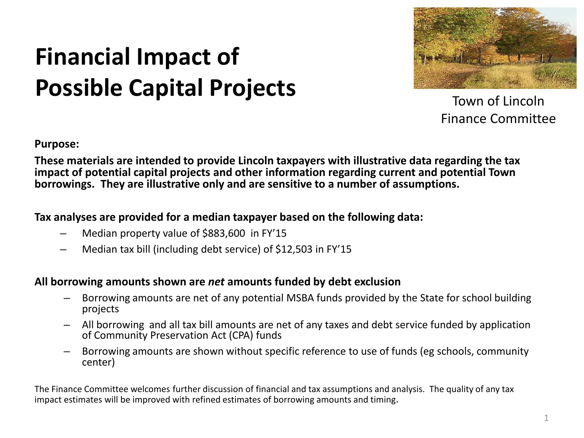### **Financial Impact of Possible Capital Projects**



Town of Lincoln Finance Committee

**Purpose:** 

**These materials are intended to provide Lincoln taxpayers with illustrative data regarding the tax impact of potential capital projects and other information regarding current and potential Town borrowings. They are illustrative only and are sensitive to a number of assumptions.** 

#### **Tax analyses are provided for a median taxpayer based on the following data:**

- Median property value of \$883,600 in FY'15
- Median tax bill (including debt service) of \$12,503 in FY'15

#### **All borrowing amounts shown are** *net* **amounts funded by debt exclusion**

- Borrowing amounts are net of any potential MSBA funds provided by the State for school building projects
- All borrowing and all tax bill amounts are net of any taxes and debt service funded by application of Community Preservation Act (CPA) funds
- Borrowing amounts are shown without specific reference to use of funds (eg schools, community center)

The Finance Committee welcomes further discussion of financial and tax assumptions and analysis. The quality of any tax impact estimates will be improved with refined estimates of borrowing amounts and timing.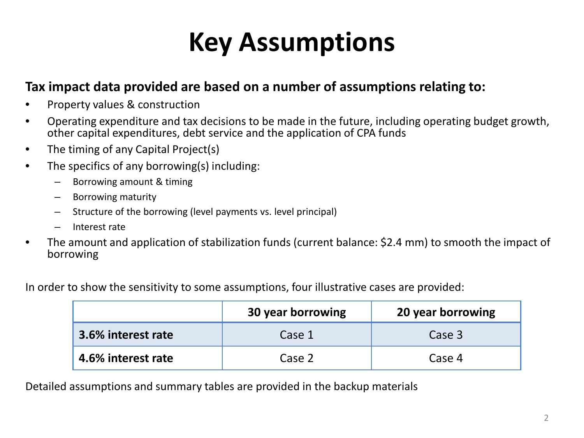### **Key Assumptions**

#### **Tax impact data provided are based on a number of assumptions relating to:**

- Property values & construction
- Operating expenditure and tax decisions to be made in the future, including operating budget growth, other capital expenditures, debt service and the application of CPA funds
- The timing of any Capital Project(s)
- The specifics of any borrowing(s) including:
	- Borrowing amount & timing
	- Borrowing maturity
	- Structure of the borrowing (level payments vs. level principal)
	- Interest rate
- The amount and application of stabilization funds (current balance: \$2.4 mm) to smooth the impact of borrowing

In order to show the sensitivity to some assumptions, four illustrative cases are provided:

|                    | 30 year borrowing | 20 year borrowing |
|--------------------|-------------------|-------------------|
| 3.6% interest rate | Case 1            | Case 3            |
| 4.6% interest rate | Case 2            | Case 4            |

Detailed assumptions and summary tables are provided in the backup materials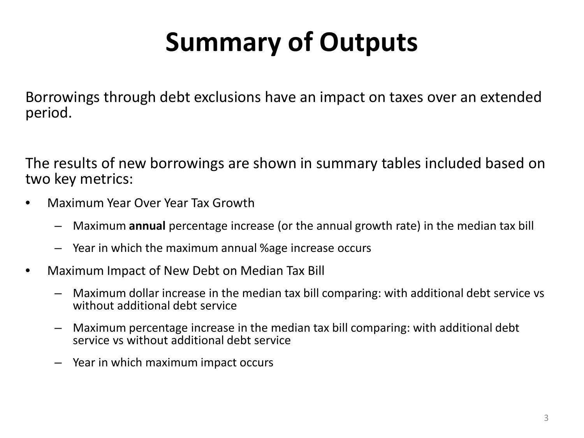# **Summary of Outputs**

Borrowings through debt exclusions have an impact on taxes over an extended period.

The results of new borrowings are shown in summary tables included based on two key metrics:

- Maximum Year Over Year Tax Growth
	- Maximum **annual** percentage increase (or the annual growth rate) in the median tax bill
	- Year in which the maximum annual %age increase occurs
- Maximum Impact of New Debt on Median Tax Bill
	- Maximum dollar increase in the median tax bill comparing: with additional debt service vs without additional debt service
	- Maximum percentage increase in the median tax bill comparing: with additional debt service vs without additional debt service
	- Year in which maximum impact occurs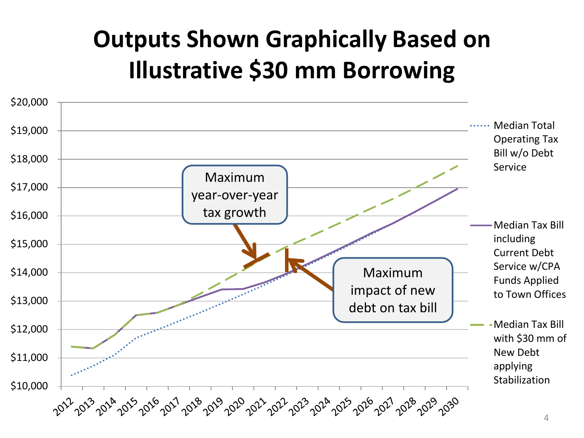### **Outputs Shown Graphically Based on Illustrative \$30 mm Borrowing**

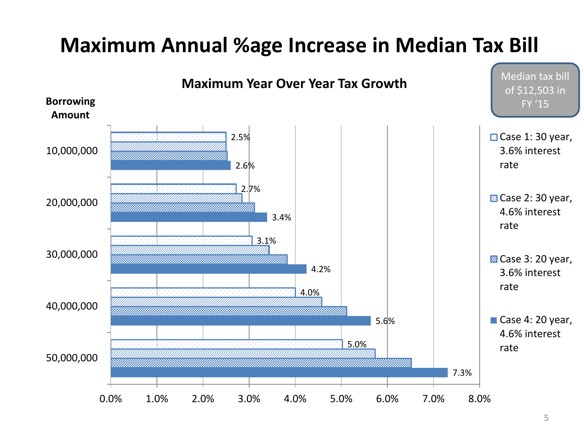#### **Maximum Annual %age Increase in Median Tax Bill**

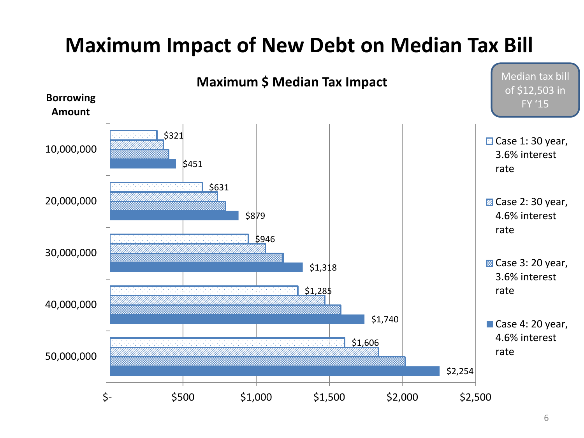#### **Maximum Impact of New Debt on Median Tax Bill**

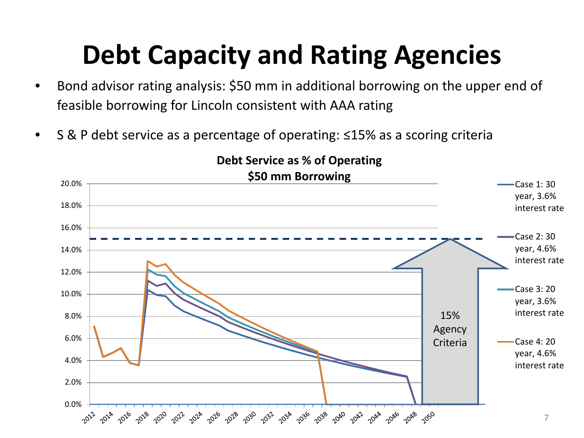### **Debt Capacity and Rating Agencies**

- Bond advisor rating analysis: \$50 mm in additional borrowing on the upper end of feasible borrowing for Lincoln consistent with AAA rating
- S & P debt service as a percentage of operating: ≤15% as a scoring criteria

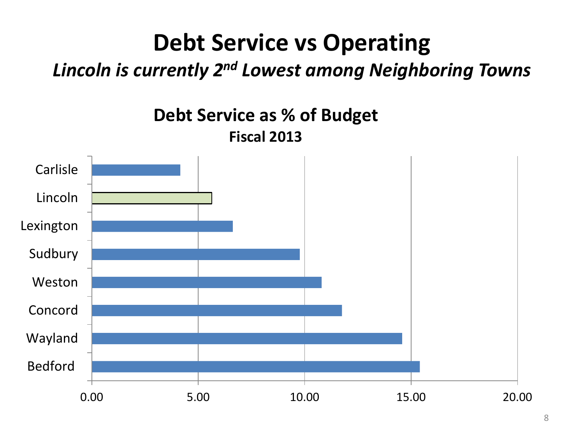### **Debt Service vs Operating**

#### *Lincoln is currently 2nd Lowest among Neighboring Towns*

**Debt Service as % of Budget Fiscal 2013**

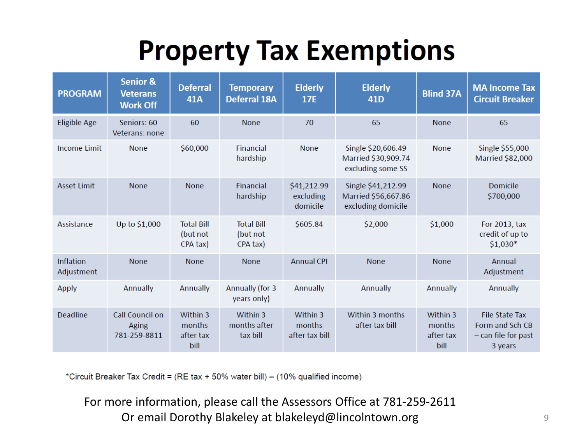## **Property Tax Exemptions**

| <b>PROGRAM</b>                 | <b>Senior &amp;</b><br><b>Veterans</b><br><b>Work Off</b> | <b>Deferral</b><br><b>41A</b>             | <b>Temporary</b><br><b>Deferral 18A</b>   | <b>Elderly</b><br><b>17E</b>         | <b>Elderly</b><br>41 <sub>D</sub>                               | <b>Blind 37A</b>                        | <b>MA Income Tax</b><br><b>Circuit Breaker</b>                               |
|--------------------------------|-----------------------------------------------------------|-------------------------------------------|-------------------------------------------|--------------------------------------|-----------------------------------------------------------------|-----------------------------------------|------------------------------------------------------------------------------|
| <b>Eligible Age</b>            | Seniors: 60<br>Veterans: none                             | 60                                        | <b>None</b>                               | 70                                   | 65                                                              | <b>None</b>                             | 65                                                                           |
| <b>Income Limit</b>            | <b>None</b>                                               | \$60,000                                  | <b>Financial</b><br>hardship              | <b>None</b>                          | Single \$20,606.49<br>Married \$30,909.74<br>excluding some SS  |                                         | Single \$55,000<br><b>Married \$82,000</b>                                   |
| <b>Asset Limit</b>             | <b>None</b>                                               | <b>None</b>                               | <b>Financial</b><br>hardship              | \$41,212.99<br>excluding<br>domicile | Single \$41,212.99<br>Married \$56,667.86<br>excluding domicile | <b>None</b>                             | <b>Domicile</b><br>\$700,000                                                 |
| Assistance                     | Up to \$1,000                                             | <b>Total Bill</b><br>(but not<br>CPA tax) | <b>Total Bill</b><br>(but not<br>CPA tax) | \$605.84                             | \$2,000                                                         | \$1,000                                 | For 2013, tax<br>credit of up to<br>$$1,030*$                                |
| <b>Inflation</b><br>Adjustment | <b>None</b>                                               | <b>None</b>                               | <b>None</b>                               | <b>Annual CPI</b>                    | <b>None</b>                                                     | <b>None</b>                             | Annual<br>Adjustment                                                         |
| <b>Apply</b>                   | Annually                                                  | Annually                                  | Annually (for 3<br>years only)            | <b>Annually</b>                      | Annually                                                        | Annually                                | Annually                                                                     |
| <b>Deadline</b>                | <b>Call Council on</b><br><b>Aging</b><br>781-259-8811    | Within 3<br>months<br>after tax<br>bill   | Within 3<br>months after<br>tax bill      | Within 3<br>months<br>after tax bill | Within 3 months<br>after tax bill                               | Within 3<br>months<br>after tax<br>bill | <b>File State Tax</b><br>Form and Sch CB<br>$-$ can file for past<br>3 years |

\*Circuit Breaker Tax Credit = (RE tax + 50% water bill) - (10% qualified income)

For more information, please call the Assessors Office at 781-259-2611 Or email Dorothy Blakeley at blakeleyd@lincolntown.org 9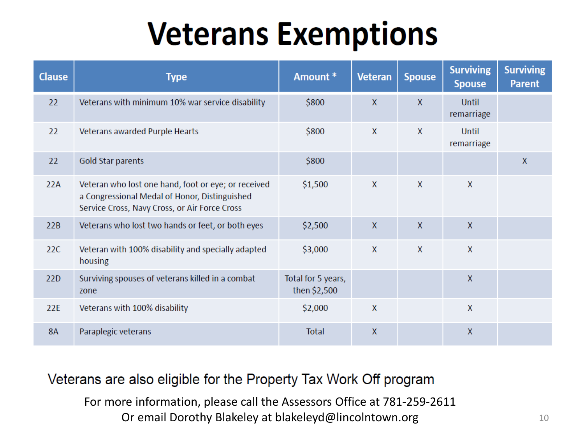# **Veterans Exemptions**

| <b>Clause</b> | <b>Type</b>                                                                                                                                           | Amount *                           | <b>Veteran</b> | <b>Spouse</b> | <b>Surviving</b><br><b>Spouse</b> | <b>Surviving</b><br><b>Parent</b> |
|---------------|-------------------------------------------------------------------------------------------------------------------------------------------------------|------------------------------------|----------------|---------------|-----------------------------------|-----------------------------------|
| 22            | Veterans with minimum 10% war service disability                                                                                                      | \$800                              | $\mathsf{X}$   | $\mathsf{X}$  | <b>Until</b><br>remarriage        |                                   |
| 22            | Veterans awarded Purple Hearts                                                                                                                        | \$800                              | X              | X             | <b>Until</b><br>remarriage        |                                   |
| 22            | Gold Star parents                                                                                                                                     | \$800                              |                |               |                                   | $\mathsf{X}$                      |
| 22A           | Veteran who lost one hand, foot or eye; or received<br>a Congressional Medal of Honor, Distinguished<br>Service Cross, Navy Cross, or Air Force Cross | \$1,500                            | $\mathsf{X}$   | $\mathsf{X}$  | $\mathsf{X}$                      |                                   |
| 22B           | Veterans who lost two hands or feet, or both eyes                                                                                                     | \$2,500                            | X              | $\mathsf{X}$  | $\mathsf{X}$                      |                                   |
| 22C           | Veteran with 100% disability and specially adapted<br>housing                                                                                         | \$3,000                            | $\mathsf{X}$   | $\mathsf{X}$  | X                                 |                                   |
| 22D           | Surviving spouses of veterans killed in a combat<br>zone                                                                                              | Total for 5 years,<br>then \$2,500 |                |               | X                                 |                                   |
| 22E           | Veterans with 100% disability                                                                                                                         | \$2,000                            | $\mathsf{X}$   |               | X                                 |                                   |
| <b>8A</b>     | Paraplegic veterans                                                                                                                                   | <b>Total</b>                       | X              |               | X                                 |                                   |

#### Veterans are also eligible for the Property Tax Work Off program

For more information, please call the Assessors Office at 781-259-2611 Or email Dorothy Blakeley at blakeleyd@lincolntown.org 10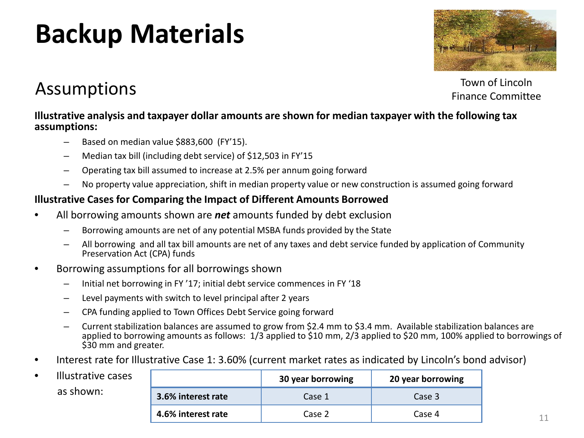### **Backup Materials**



Assumptions

Town of Lincoln Finance Committee

#### **Illustrative analysis and taxpayer dollar amounts are shown for median taxpayer with the following tax assumptions:**

- Based on median value \$883,600 (FY'15).
- Median tax bill (including debt service) of \$12,503 in FY'15
- Operating tax bill assumed to increase at 2.5% per annum going forward
- No property value appreciation, shift in median property value or new construction is assumed going forward

#### **Illustrative Cases for Comparing the Impact of Different Amounts Borrowed**

- All borrowing amounts shown are *net* amounts funded by debt exclusion
	- Borrowing amounts are net of any potential MSBA funds provided by the State
	- All borrowing and all tax bill amounts are net of any taxes and debt service funded by application of Community Preservation Act (CPA) funds
- Borrowing assumptions for all borrowings shown
	- Initial net borrowing in FY '17; initial debt service commences in FY '18
	- Level payments with switch to level principal after 2 years
	- CPA funding applied to Town Offices Debt Service going forward
	- Current stabilization balances are assumed to grow from \$2.4 mm to \$3.4 mm. Available stabilization balances are applied to borrowing amounts as follows: 1/3 applied to \$10 mm, 2/3 applied to \$20 mm, 100% applied to borrowings of \$30 mm and greater.
- Interest rate for Illustrative Case 1: 3.60% (current market rates as indicated by Lincoln's bond advisor)

| Illustrative cases |
|--------------------|
| as shown:          |

|                    | 30 year borrowing | 20 year borrowing |
|--------------------|-------------------|-------------------|
| 3.6% interest rate | Case 1            | Case 3            |
| 4.6% interest rate | Case 2            | Case 4            |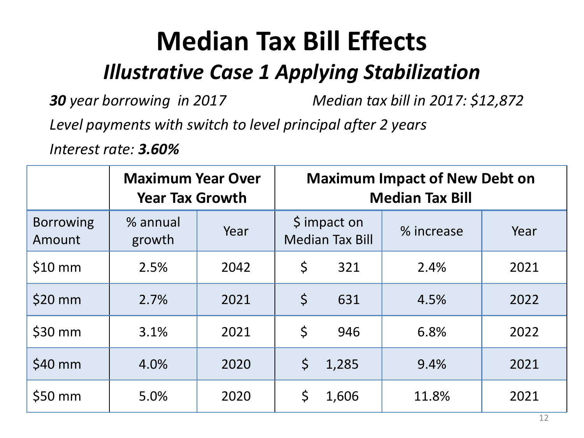*Illustrative Case 1 Applying Stabilization*

*30 year borrowing in 2017 Median tax bill in 2017: \$12,872*

*Level payments with switch to level principal after 2 years*

*Interest rate: 3.60%*

|                            | <b>Maximum Year Over</b><br><b>Year Tax Growth</b> | <b>Maximum Impact of New Debt on</b><br><b>Median Tax Bill</b> |                                                   |       |            |            |
|----------------------------|----------------------------------------------------|----------------------------------------------------------------|---------------------------------------------------|-------|------------|------------|
| <b>Borrowing</b><br>Amount | % annual<br>growth                                 | Year                                                           | $\frac{1}{2}$ impact on<br><b>Median Tax Bill</b> |       | % increase | Year       |
| $$10$ mm                   | 2.5%                                               | 2042                                                           | \$                                                | 321   | 2.4%       | 2021       |
| $$20$ mm                   | 2.7%                                               | 2021                                                           | \$                                                | 631   | 4.5%       | 2022       |
| $$30$ mm                   | 3.1%                                               | 2021                                                           | $\zeta$                                           | 946   | 6.8%       | 2022       |
| \$40 mm                    | 4.0%                                               | 2020                                                           | \$                                                | 1,285 | 9.4%       | 2021       |
| $$50$ mm                   | 5.0%                                               | 2020                                                           | \$                                                | 1,606 | 11.8%      | 2021<br>12 |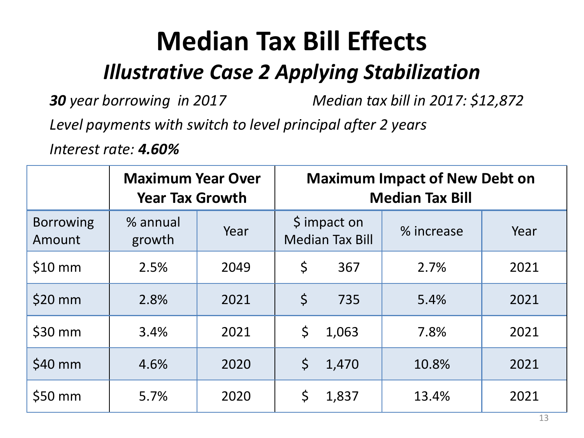*Illustrative Case 2 Applying Stabilization*

*30 year borrowing in 2017 Median tax bill in 2017: \$12,872*

*Level payments with switch to level principal after 2 years*

*Interest rate: 4.60%*

|                            | <b>Maximum Year Over</b><br><b>Year Tax Growth</b> | <b>Maximum Impact of New Debt on</b><br><b>Median Tax Bill</b> |                                        |       |            |            |
|----------------------------|----------------------------------------------------|----------------------------------------------------------------|----------------------------------------|-------|------------|------------|
| <b>Borrowing</b><br>Amount | % annual<br>growth                                 | Year                                                           | \$ impact on<br><b>Median Tax Bill</b> |       | % increase | Year       |
| $$10$ mm                   | 2.5%                                               | 2049                                                           | \$<br>367                              |       | 2.7%       | 2021       |
| \$20 mm                    | 2.8%                                               | 2021                                                           | \$                                     | 735   | 5.4%       | 2021       |
| $$30$ mm                   | 3.4%                                               | 2021                                                           | \$                                     | 1,063 | 7.8%       | 2021       |
| \$40 mm                    | 4.6%                                               | 2020                                                           | \$                                     | 1,470 | 10.8%      | 2021       |
| $$50$ mm                   | 5.7%                                               | 2020                                                           | \$                                     | 1,837 | 13.4%      | 2021<br>13 |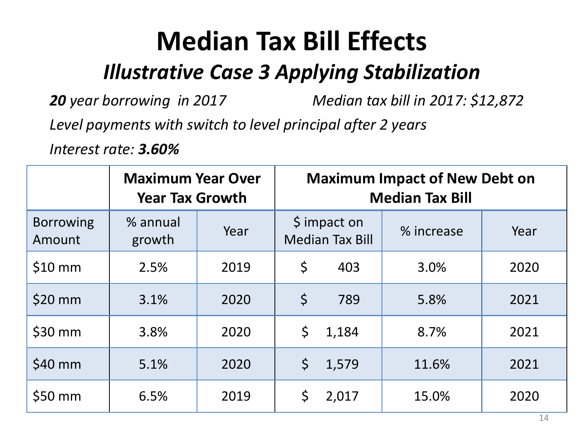*Illustrative Case 3 Applying Stabilization*

*20 year borrowing in 2017 Median tax bill in 2017: \$12,872*

*Level payments with switch to level principal after 2 years*

*Interest rate: 3.60%*

|                            | <b>Maximum Year Over</b><br><b>Year Tax Growth</b> | <b>Maximum Impact of New Debt on</b><br><b>Median Tax Bill</b> |                                        |       |            |            |
|----------------------------|----------------------------------------------------|----------------------------------------------------------------|----------------------------------------|-------|------------|------------|
| <b>Borrowing</b><br>Amount | % annual<br>growth                                 | Year                                                           | \$ impact on<br><b>Median Tax Bill</b> |       | % increase | Year       |
| $$10$ mm                   | 2.5%                                               | 2019                                                           | \$<br>403                              |       | 3.0%       | 2020       |
| \$20 mm                    | 3.1%                                               | 2020                                                           | \$                                     | 789   | 5.8%       | 2021       |
| $$30$ mm                   | 3.8%                                               | 2020                                                           | \$                                     | 1,184 | 8.7%       | 2021       |
| \$40 mm                    | 5.1%                                               | 2020                                                           | \$                                     | 1,579 | 11.6%      | 2021       |
| $$50$ mm                   | 6.5%                                               | 2019                                                           | \$                                     | 2,017 | 15.0%      | 2020<br>14 |